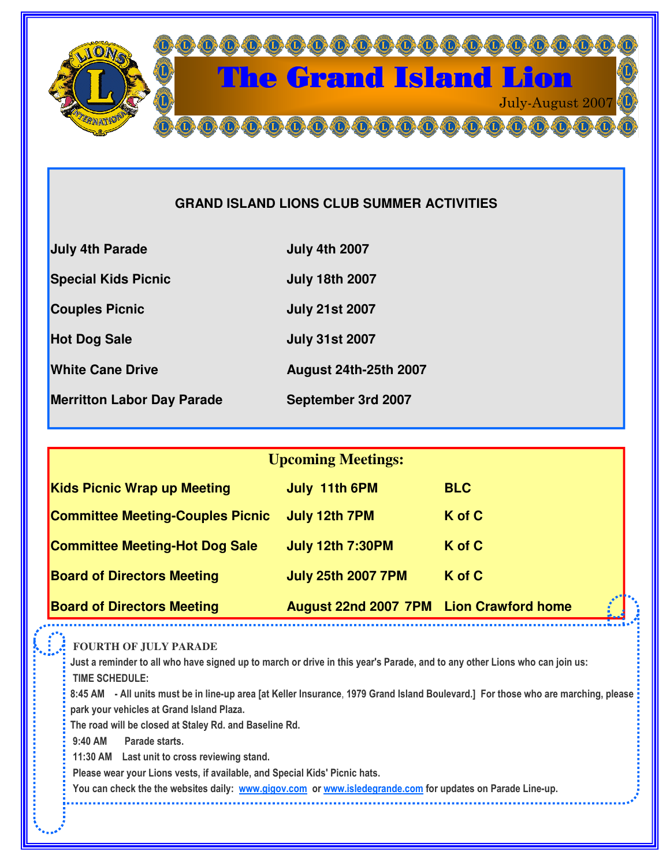

# **GRAND ISLAND LIONS CLUB SUMMER ACTIVITIES**

| <b>July 4th Parade</b>            | <b>July 4th 2007</b>         |
|-----------------------------------|------------------------------|
| <b>Special Kids Picnic</b>        | <b>July 18th 2007</b>        |
| <b>Couples Picnic</b>             | <b>July 21st 2007</b>        |
| <b>Hot Dog Sale</b>               | <b>July 31st 2007</b>        |
| <b>White Cane Drive</b>           | <b>August 24th-25th 2007</b> |
| <b>Merritton Labor Day Parade</b> | September 3rd 2007           |
|                                   |                              |

| <b>Upcoming Meetings:</b>               |                                                |            |  |
|-----------------------------------------|------------------------------------------------|------------|--|
| <b>Kids Picnic Wrap up Meeting</b>      | July 11th 6PM                                  | <b>BLC</b> |  |
| <b>Committee Meeting-Couples Picnic</b> | July 12th 7PM                                  | K of C     |  |
| <b>Committee Meeting-Hot Dog Sale</b>   | <b>July 12th 7:30PM</b>                        | K of C     |  |
| <b>Board of Directors Meeting</b>       | <b>July 25th 2007 7PM</b>                      | K of C     |  |
| <b>Board of Directors Meeting</b>       | <b>August 22nd 2007 7PM Lion Crawford home</b> | i.         |  |

**FOURTH OF JULY PARADE**

Just a reminder to all who have signed up to march or drive in this year's Parade, and to any other Lions who can join us: TIME SCHEDULE:

8:45 AM - All units must be in line-up area [at Keller Insurance, 1979 Grand Island Boulevard.] For those who are marching, please park your vehicles at Grand Island Plaza.

The road will be closed at Staley Rd. and Baseline Rd.

9:40 AM Parade starts.

11:30 AM Last unit to cross reviewing stand.

Please wear your Lions vests, if available, and Special Kids' Picnic hats.

You can check the the websites daily: <u>www.gigov.com</u> or <u>www.isledegrande.com</u> for updates on Parade Line-up.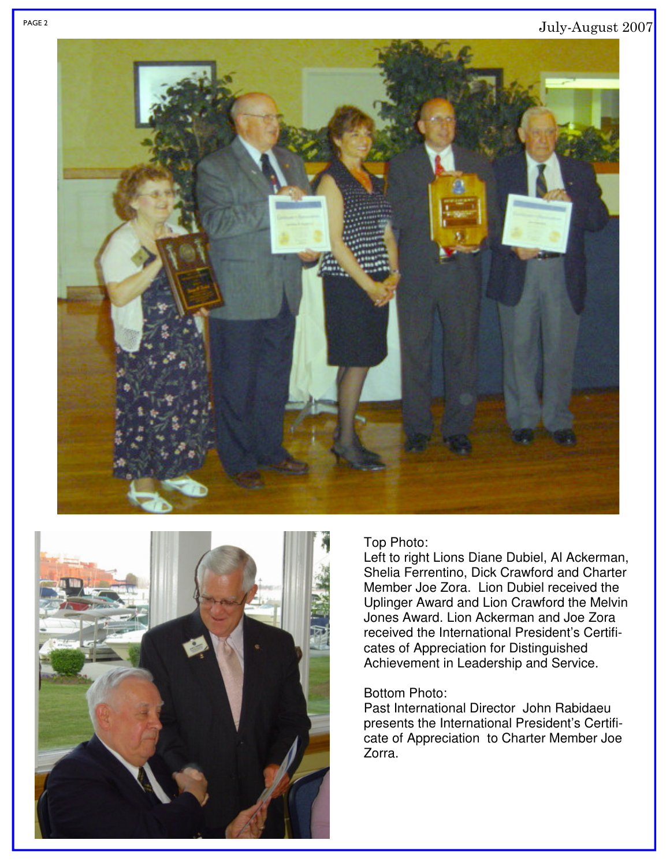## July-August 2007





#### Top Photo:

Left to right Lions Diane Dubiel, Al Ackerman, Shelia Ferrentino, Dick Crawford and Charter Member Joe Zora. Lion Dubiel received the Uplinger Award and Lion Crawford the Melvin Jones Award. Lion Ackerman and Joe Zora received the International President's Certificates of Appreciation for Distinguished Achievement in Leadership and Service.

### Bottom Photo:

Past International Director John Rabidaeu presents the International President's Certificate of Appreciation to Charter Member Joe Zorra.